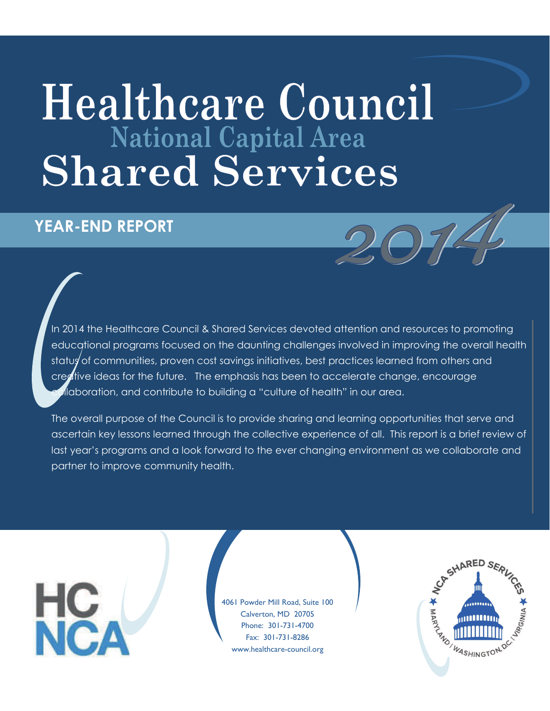# **Healthcare Council National Capital Area Shared Services**

#### **YEAR-END REPORT**

In 2014 the Healthcare Council & Shared Services devoted attention and resources to promoting educational programs focused on the daunting challenges involved in improving the overall health statug of communities, proven cost savings initiatives, best practices learned from others and creative ideas for the future. The emphasis has been to accelerate change, encourage deboration, and contribute to building a "culture of health" in our area.

The overall purpose of the Council is to provide sharing and learning opportunities that serve and ascertain key lessons learned through the collective experience of all. This report is a brief review of last year's programs and a look forward to the ever changing environment as we collaborate and partner to improve community health.

4061 Powder Mill Road, Suite 100 Calverton, MD 20705 Phone: 301-731-4700 Fax: 301-731-8286 www.healthcare-council.org

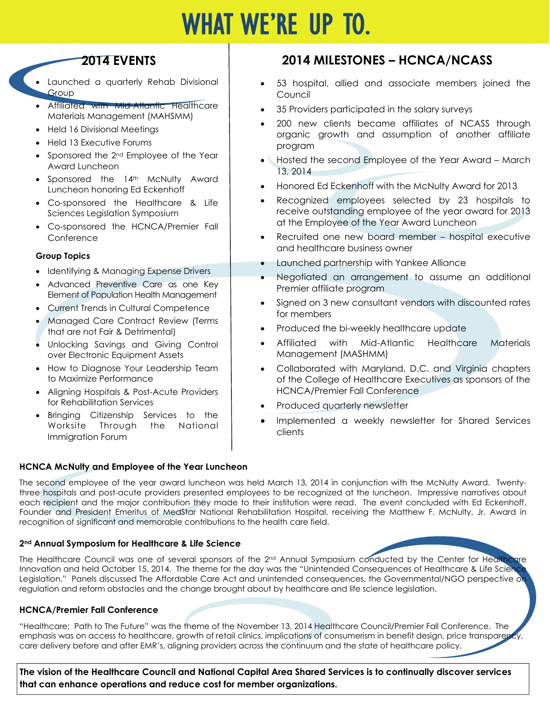## WHAT WE'RE UP TO.

#### **2014 EVENTS**

- Launched a quarterly Rehab Divisional Group
- Affiliated with Mid-Atlantic Healthcare Materials Management (MAHSMM)
- Held 16 Divisional Meetings
- Held 13 Executive Forums
- Sponsored the 2<sup>nd</sup> Employee of the Year Award Luncheon
- Sponsored the 14th McNulty Award Luncheon honoring Ed Eckenhoff
- Co-sponsored the Healthcare & Life Sciences Legislation Symposium
- Co-sponsored the HCNCA/Premier Fall **Conference**

#### **Group Topics**

- Identifying & Managing Expense Drivers
- Advanced Preventive Care as one Key Element of Population Health Management
- Current Trends in Cultural Competence
- Managed Care Contract Review (Terms that are not Fair & Detrimental)
- Unlocking Savings and Giving Control over Electronic Equipment Assets
- How to Diagnose Your Leadership Team to Maximize Performance
- Aligning Hospitals & Post-Acute Providers for Rehabilitation Services
- Bringing Citizenship Services to the Worksite Through the National Immigration Forum

#### **HCNCA McNulty and Employee of the Year Luncheon**

#### **2014 MILESTONES – HCNCA/NCASS**

- 53 hospital, allied and associate members joined the Council
- 35 Providers participated in the salary surveys
- 200 new clients became affiliates of NCASS through organic growth and assumption of another affiliate program
- Hosted the second Employee of the Year Award March 13, 2014
- Honored Ed Eckenhoff with the McNulty Award for 2013
- Recognized employees selected by 23 hospitals to receive outstanding employee of the year award for 2013 at the Employee of the Year Award Luncheon
- Recruited one new board member hospital executive and healthcare business owner
	- Launched partnership with Yankee Alliance
	- Negotiated an arrangement to assume an additional Premier affiliate program
- Signed on 3 new consultant vendors with discounted rates for members
- Produced the bi-weekly healthcare update
- Affiliated with Mid-Atlantic Healthcare Materials Management (MASHMM)
- Collaborated with Maryland, D.C. and Virginia chapters of the College of Healthcare Executives as sponsors of the HCNCA/Premier Fall Conference
- Produced quarterly newsletter
- Implemented a weekly newsletter for Shared Services clients

The second employee of the year award luncheon was held March 13, 2014 in conjunction with the McNulty Award. Twentythree hospitals and post-acute providers presented employees to be recognized at the luncheon. Impressive narratives about each recipient and the major contribution they made to their institution were read. The event concluded with Ed Eckenhoff, Founder and President Emeritus of MedStar National Rehabilitation Hospital, receiving the Matthew F. McNulty, Jr. Award in recognition of significant and memorable contributions to the health care field.

#### **2nd Annual Symposium for Healthcare & Life Science**

The Healthcare Council was one of several sponsors of the 2<sup>nd</sup> Annual Symposium conducted by the Center for Healthcare Innovation and held October 15, 2014. The theme for the day was the "Unintended Consequences of Healthcare & Life Scienc Legislation." Panels discussed The Affordable Care Act and unintended consequences, the Governmental/NGO perspective on regulation and reform obstacles and the change brought about by healthcare and life science legislation.

#### **HCNCA/Premier Fall Conference**

"Healthcare: Path to The Future" was the theme of the November 13, 2014 Healthcare Council/Premier Fall Conference. The emphasis was on access to healthcare, growth of retail clinics, implications of consumerism in benefit design, price transparency care delivery before and after EMR's, aligning providers across the continuum and the state of healthcare policy.

**The vision of the Healthcare Council and National Capital Area Shared Services is to continually discover services that can enhance operations and reduce cost for member organizations.**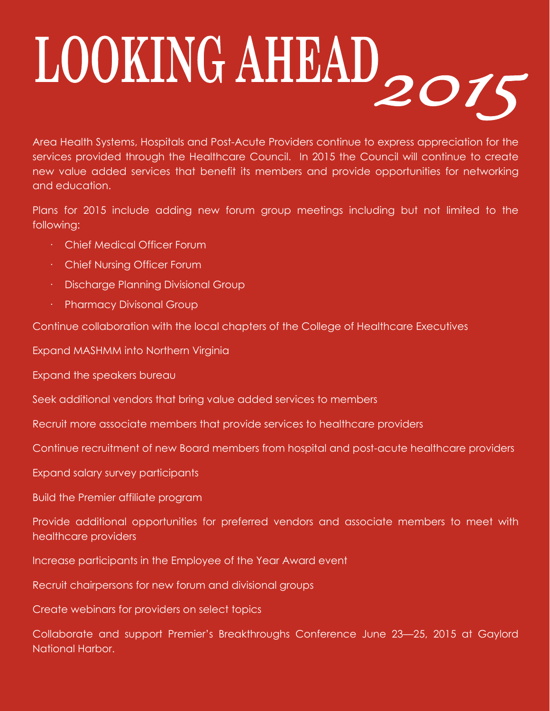# LOOKING AHEAD2015

Area Health Systems, Hospitals and Post-Acute Providers continue to express appreciation for the services provided through the Healthcare Council. In 2015 the Council will continue to create new value added services that benefit its members and provide opportunities for networking and education.

Plans for 2015 include adding new forum group meetings including but not limited to the following:

- · Chief Medical Officer Forum
- · Chief Nursing Officer Forum
- · Discharge Planning Divisional Group
- Pharmacy Divisonal Group

Continue collaboration with the local chapters of the College of Healthcare Executives

Expand MASHMM into Northern Virginia

Expand the speakers bureau

Seek additional vendors that bring value added services to members

Recruit more associate members that provide services to healthcare providers

Continue recruitment of new Board members from hospital and post-acute healthcare providers

Expand salary survey participants

Build the Premier affiliate program

Provide additional opportunities for preferred vendors and associate members to meet with healthcare providers

Increase participants in the Employee of the Year Award event

Recruit chairpersons for new forum and divisional groups

Create webinars for providers on select topics

Collaborate and support Premier's Breakthroughs Conference June 23—25, 2015 at Gaylord National Harbor.